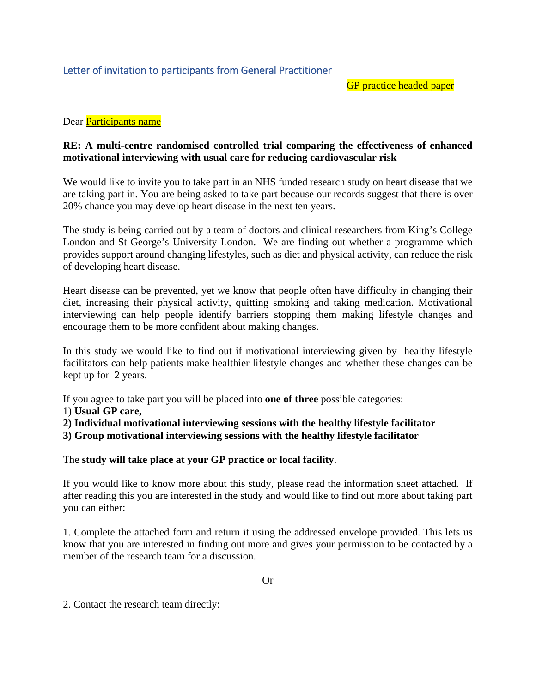GP practice headed paper

## Dear Participants name

## **RE: A multi-centre randomised controlled trial comparing the effectiveness of enhanced motivational interviewing with usual care for reducing cardiovascular risk**

We would like to invite you to take part in an NHS funded research study on heart disease that we are taking part in. You are being asked to take part because our records suggest that there is over 20% chance you may develop heart disease in the next ten years.

The study is being carried out by a team of doctors and clinical researchers from King's College London and St George's University London. We are finding out whether a programme which provides support around changing lifestyles, such as diet and physical activity, can reduce the risk of developing heart disease.

Heart disease can be prevented, yet we know that people often have difficulty in changing their diet, increasing their physical activity, quitting smoking and taking medication. Motivational interviewing can help people identify barriers stopping them making lifestyle changes and encourage them to be more confident about making changes.

In this study we would like to find out if motivational interviewing given by healthy lifestyle facilitators can help patients make healthier lifestyle changes and whether these changes can be kept up for 2 years.

If you agree to take part you will be placed into **one of three** possible categories:

- 1) **Usual GP care,**
- **2) Individual motivational interviewing sessions with the healthy lifestyle facilitator**
- **3) Group motivational interviewing sessions with the healthy lifestyle facilitator**

The **study will take place at your GP practice or local facility**.

If you would like to know more about this study, please read the information sheet attached. If after reading this you are interested in the study and would like to find out more about taking part you can either:

1. Complete the attached form and return it using the addressed envelope provided. This lets us know that you are interested in finding out more and gives your permission to be contacted by a member of the research team for a discussion.

2. Contact the research team directly: